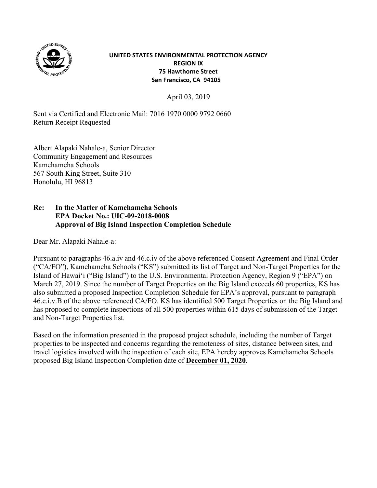

## **UNITED STATES ENVIRONMENTAL PROTECTION AGENCY REGION IX 75 Hawthorne Street San Francisco, CA 94105**

April 03, 2019

Sent via Certified and Electronic Mail: 7016 1970 0000 9792 0660 Return Receipt Requested

Albert Alapaki Nahale-a, Senior Director Community Engagement and Resources Kamehameha Schools 567 South King Street, Suite 310 Honolulu, HI 96813

## **Re: In the Matter of Kamehameha Schools EPA Docket No.: UIC-09-2018-0008 Approval of Big Island Inspection Completion Schedule**

Dear Mr. Alapaki Nahale-a:

Pursuant to paragraphs 46.a.iv and 46.c.iv of the above referenced Consent Agreement and Final Order ("CA/FO"), Kamehameha Schools ("KS") submitted its list of Target and Non-Target Properties for the Island of Hawaiʻi ("Big Island") to the U.S. Environmental Protection Agency, Region 9 ("EPA") on March 27, 2019. Since the number of Target Properties on the Big Island exceeds 60 properties, KS has also submitted a proposed Inspection Completion Schedule for EPA's approval, pursuant to paragraph 46.c.i.v.B of the above referenced CA/FO. KS has identified 500 Target Properties on the Big Island and has proposed to complete inspections of all 500 properties within 615 days of submission of the Target and Non-Target Properties list.

Based on the information presented in the proposed project schedule, including the number of Target properties to be inspected and concerns regarding the remoteness of sites, distance between sites, and travel logistics involved with the inspection of each site, EPA hereby approves Kamehameha Schools proposed Big Island Inspection Completion date of **December 01, 2020**.